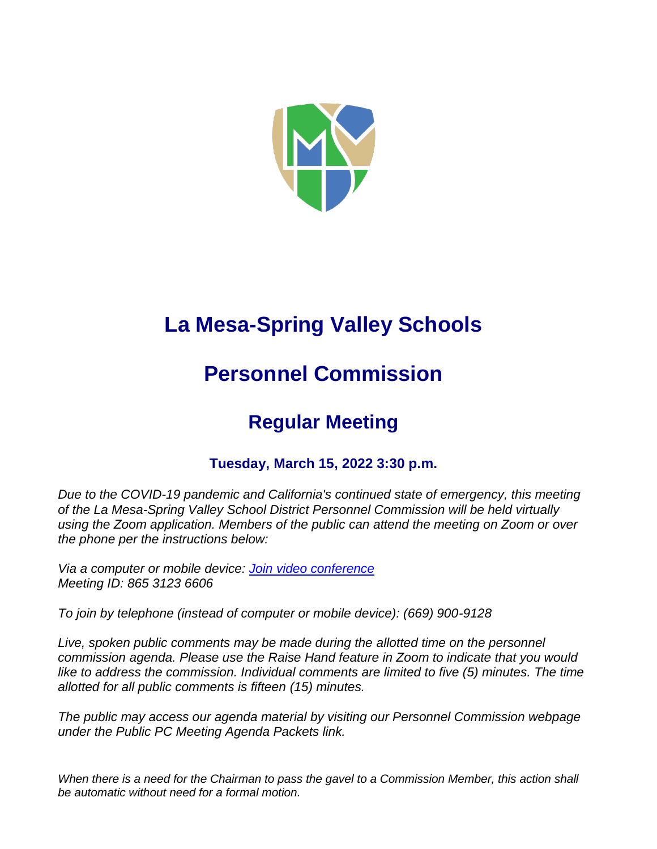

# **La Mesa-Spring Valley Schools**

## **Personnel Commission**

## **Regular Meeting**

## **Tuesday, March 15, 2022 3:30 p.m.**

*Due to the COVID-19 pandemic and California's continued state of emergency, this meeting of the La Mesa-Spring Valley School District Personnel Commission will be held virtually using the Zoom application. Members of the public can attend the meeting on Zoom or over the phone per the instructions below:*

*Via a computer or mobile device: [Join video conference](https://lmsvsd-net.zoom.us/j/86531236606) Meeting ID: 865 3123 6606*

*To join by telephone (instead of computer or mobile device): (669) 900-9128*

Live, spoken public comments may be made during the allotted time on the personnel *commission agenda. Please use the Raise Hand feature in Zoom to indicate that you would*  like to address the commission. Individual comments are limited to five (5) minutes. The time *allotted for all public comments is fifteen (15) minutes.*

*The public may access our agenda material by visiting our Personnel Commission webpage under the Public PC Meeting Agenda Packets link.* 

*When there is a need for the Chairman to pass the gavel to a Commission Member, this action shall be automatic without need for a formal motion.*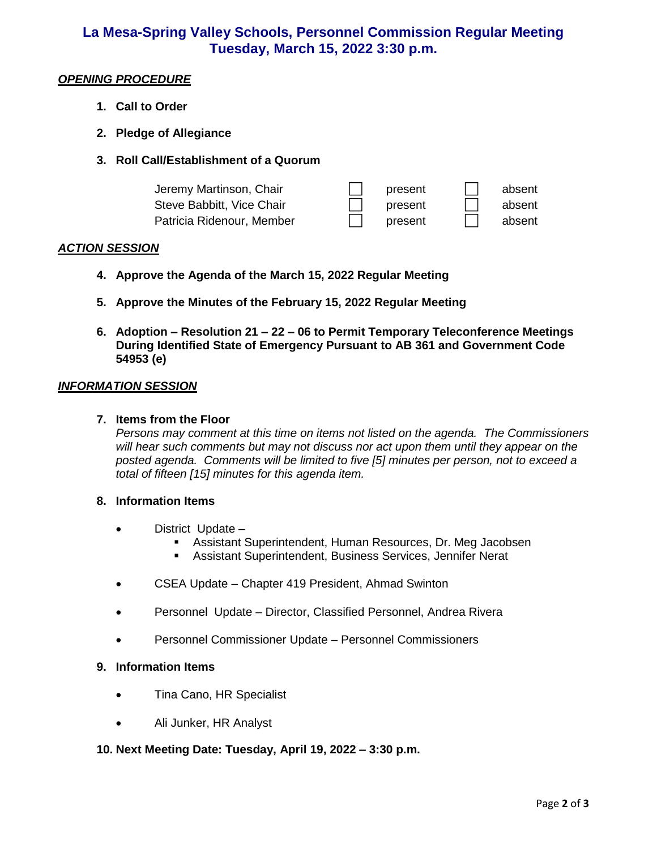### **La Mesa-Spring Valley Schools, Personnel Commission Regular Meeting Tuesday, March 15, 2022 3:30 p.m.**

#### *OPENING PROCEDURE*

- **1. Call to Order**
- **2. Pledge of Allegiance**
- **3. Roll Call/Establishment of a Quorum**

| Jeremy Martinson, Chair   | present | absent |
|---------------------------|---------|--------|
| Steve Babbitt, Vice Chair | present | absent |
| Patricia Ridenour, Member | present | absent |

#### *ACTION SESSION*

- **4. Approve the Agenda of the March 15, 2022 Regular Meeting**
- **5. Approve the Minutes of the February 15, 2022 Regular Meeting**
- **6. Adoption – Resolution 21 – 22 – 06 to Permit Temporary Teleconference Meetings During Identified State of Emergency Pursuant to AB 361 and Government Code 54953 (e)**

#### *INFORMATION SESSION*

#### **7. Items from the Floor**

*Persons may comment at this time on items not listed on the agenda. The Commissioners will hear such comments but may not discuss nor act upon them until they appear on the posted agenda. Comments will be limited to five [5] minutes per person, not to exceed a total of fifteen [15] minutes for this agenda item.* 

#### **8. Information Items**

- District Update
	- Assistant Superintendent, Human Resources, Dr. Meg Jacobsen
	- Assistant Superintendent, Business Services, Jennifer Nerat
- CSEA Update Chapter 419 President, Ahmad Swinton
- Personnel Update Director, Classified Personnel, Andrea Rivera
- Personnel Commissioner Update Personnel Commissioners

#### **9. Information Items**

- Tina Cano, HR Specialist
- Ali Junker, HR Analyst

#### **10. Next Meeting Date: Tuesday, April 19, 2022 – 3:30 p.m.**